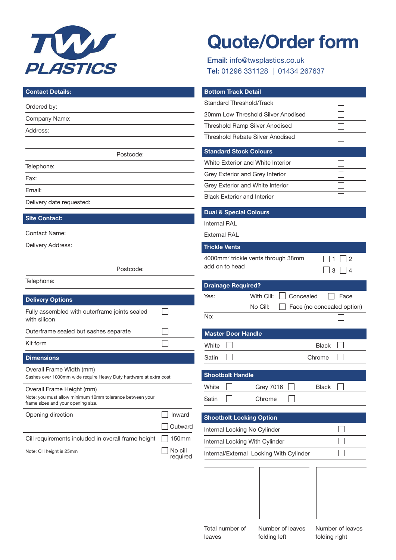

# **Quote/Order form**

Email: info@twsplastics.co.uk Tel: 01296 331128 | 01434 267637

| <b>Contact Details:</b>                                                                                                     | <b>Bottom Track Detail</b>                                                      |
|-----------------------------------------------------------------------------------------------------------------------------|---------------------------------------------------------------------------------|
| Ordered by:                                                                                                                 | <b>Standard Threshold/Track</b>                                                 |
| Company Name:                                                                                                               | 20mm Low Threshold Silver Anodised                                              |
| Address:                                                                                                                    | Threshold Ramp Silver Anodised                                                  |
|                                                                                                                             | <b>Threshold Rebate Silver Anodised</b>                                         |
| Postcode:                                                                                                                   | <b>Standard Stock Colours</b>                                                   |
| Telephone:                                                                                                                  | White Exterior and White Interior                                               |
| Fax:                                                                                                                        | Grey Exterior and Grey Interior                                                 |
| Email:                                                                                                                      | Grey Exterior and White Interior                                                |
| Delivery date requested:                                                                                                    | <b>Black Exterior and Interior</b>                                              |
|                                                                                                                             | <b>Dual &amp; Special Colours</b>                                               |
| <b>Site Contact:</b>                                                                                                        | <b>Internal RAL</b>                                                             |
| <b>Contact Name:</b>                                                                                                        | <b>External RAL</b>                                                             |
| Delivery Address:                                                                                                           | <b>Trickle Vents</b>                                                            |
| Postcode:                                                                                                                   | 4000mm <sup>2</sup> trickle vents through 38mm<br>2<br>add on to head<br>3<br>4 |
| Telephone:                                                                                                                  | <b>Drainage Required?</b>                                                       |
| <b>Delivery Options</b>                                                                                                     | With Cill:<br>Concealed<br>Face<br>Yes:                                         |
| Fully assembled with outerframe joints sealed<br>with silicon                                                               | No Cill:<br>Face (no concealed option)<br>No:                                   |
| Outerframe sealed but sashes separate                                                                                       | <b>Master Door Handle</b>                                                       |
| Kit form                                                                                                                    | White<br><b>Black</b>                                                           |
| <b>Dimensions</b>                                                                                                           | Satin<br>Chrome                                                                 |
| Overall Frame Width (mm)<br>Sashes over 1000mm wide require Heavy Duty hardware at extra cost                               | <b>Shootbolt Handle</b>                                                         |
| Overall Frame Height (mm)<br>Note: you must allow minimum 10mm tolerance between your<br>frame sizes and your opening size. | <b>Grey 7016</b><br><b>Black</b><br>White<br>Satin<br>Chrome                    |
| Inward<br>Opening direction                                                                                                 | <b>Shootbolt Locking Option</b>                                                 |
| Outward                                                                                                                     | Internal Locking No Cylinder                                                    |
| Cill requirements included in overall frame height<br>150mm                                                                 | Internal Locking With Cylinder                                                  |
| No cill<br>Note: Cill height is 25mm<br>required                                                                            | Internal/External Locking With Cylinder                                         |
|                                                                                                                             |                                                                                 |